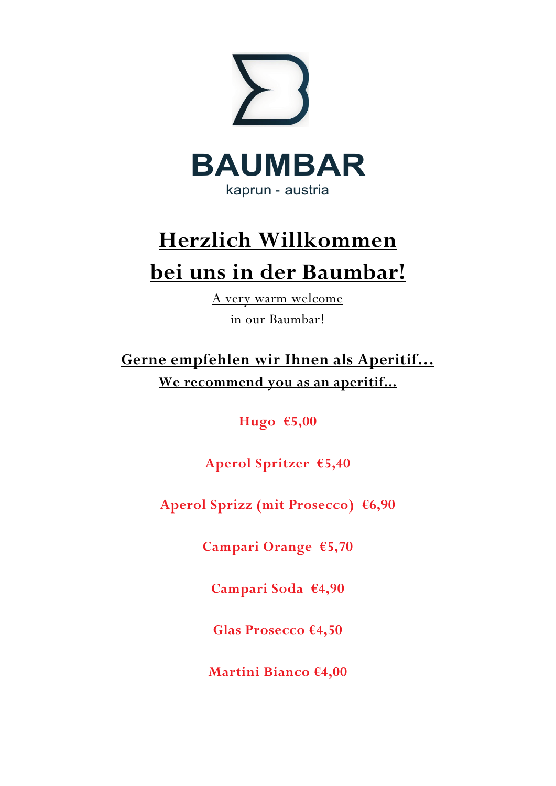

# **Herzlich Willkommen bei uns in der Baumbar!**

A very warm welcome in our Baumbar!

**Gerne empfehlen wir Ihnen als Aperitif… We recommend you as an aperitif...**

**Hugo €5,00**

**Aperol Spritzer €5,40**

**Aperol Sprizz (mit Prosecco) €6,90**

**Campari Orange €5,70**

**Campari Soda €4,90**

**Glas Prosecco €4,50**

**Martini Bianco €4,00**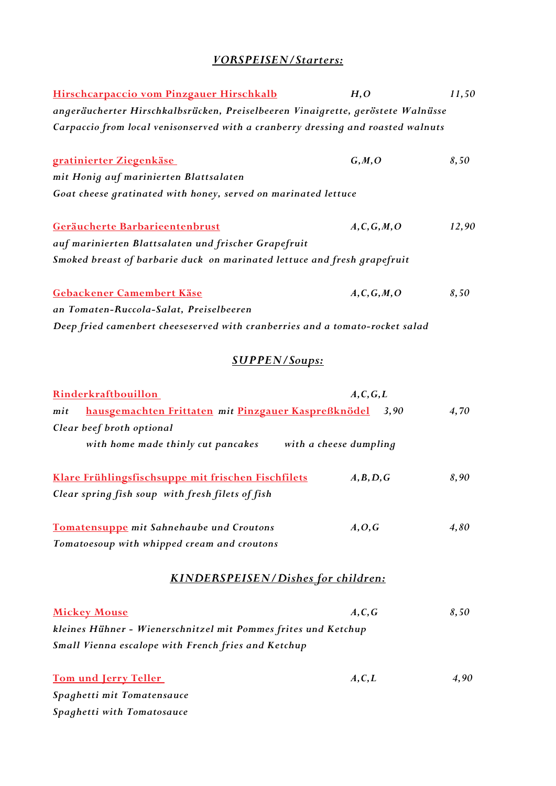## *VORSPEISEN/Starters:*

| Hirschcarpaccio vom Pinzgauer Hirschkalb                                         | H, O          | 11,50 |
|----------------------------------------------------------------------------------|---------------|-------|
| angeräucherter Hirschkalbsrücken, Preiselbeeren Vinaigrette, geröstete Walnüsse  |               |       |
| Carpaccio from local venisonserved with a cranberry dressing and roasted walnuts |               |       |
| gratinierter Ziegenkäse                                                          | G, M, O       | 8,50  |
| mit Honig auf marinierten Blattsalaten                                           |               |       |
| Goat cheese gratinated with honey, served on marinated lettuce                   |               |       |
| Geräucherte Barbarieentenbrust                                                   | A, C, G, M, O | 12,90 |
| auf marinierten Blattsalaten und frischer Grapefruit                             |               |       |
| Smoked breast of barbarie duck on marinated lettuce and fresh grapefruit         |               |       |
| Gebackener Camembert Käse                                                        | A, C, G, M, O | 8,50  |
| an Tomaten-Ruccola-Salat, Preiselbeeren                                          |               |       |
| Deep fried camenbert cheeseserved with cranberries and a tomato-rocket salad     |               |       |
| <b>SUPPEN/Soups:</b>                                                             |               |       |
| Rinderkraftbouillon                                                              | A, C, G, L    |       |
| hausgemachten Frittaten mit Pinzgauer Kaspreßknödel<br>mit                       | 3,90          | 4,70  |
| Clear beef broth optional                                                        |               |       |
| with home made thinly cut pancakes with a cheese dumpling                        |               |       |
| Klare Frühlingsfischsuppe mit frischen Fischfilets                               | A, B, D, G    | 8,90  |
| Clear spring fish soup with fresh filets of fish                                 |               |       |
| Tomatensuppe mit Sahnehaube und Croutons                                         | A, O, G       | 4,80  |
| Tomatoesoup with whipped cream and croutons                                      |               |       |
| <b>KINDERSPEISEN/Dishes for children:</b>                                        |               |       |
| <b>Mickey Mouse</b>                                                              | A, C, G       | 8,50  |
| kleines Hühner - Wienerschnitzel mit Pommes frites und Ketchup                   |               |       |
| Small Vienna escalope with French fries and Ketchup                              |               |       |
| Tom und Jerry Teller                                                             | A, C, L       | 4,90  |
| Spaghetti mit Tomatensauce                                                       |               |       |
| Spaghetti with Tomatosauce                                                       |               |       |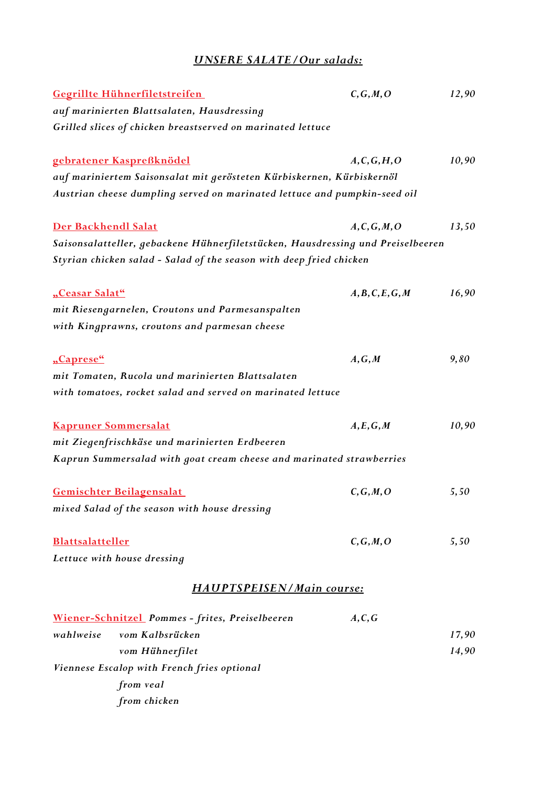## *UNSERE SALATE/Our salads:*

| Gegrillte Hühnerfiletstreifen                                                   | C, G, M, O       | 12,90 |
|---------------------------------------------------------------------------------|------------------|-------|
| auf marinierten Blattsalaten, Hausdressing                                      |                  |       |
| Grilled slices of chicken breastserved on marinated lettuce                     |                  |       |
| gebratener Kaspreßknödel                                                        | A, C, G, H, O    | 10,90 |
| auf mariniertem Saisonsalat mit gerösteten Kürbiskernen, Kürbiskernöl           |                  |       |
| Austrian cheese dumpling served on marinated lettuce and pumpkin-seed oil       |                  |       |
| Der Backhendl Salat                                                             | A, C, G, M, O    | 13,50 |
| Saisonsalatteller, gebackene Hühnerfiletstücken, Hausdressing und Preiselbeeren |                  |       |
| Styrian chicken salad - Salad of the season with deep fried chicken             |                  |       |
| "Ceasar Salat"                                                                  | A, B, C, E, G, M | 16,90 |
| mit Riesengarnelen, Croutons und Parmesanspalten                                |                  |       |
| with Kingprawns, croutons and parmesan cheese                                   |                  |       |
| "Caprese"                                                                       | A, G, M          | 9,80  |
| mit Tomaten, Rucola und marinierten Blattsalaten                                |                  |       |
| with tomatoes, rocket salad and served on marinated lettuce                     |                  |       |
| <b>Kapruner Sommersalat</b>                                                     | A, E, G, M       | 10,90 |
| mit Ziegenfrischkäse und marinierten Erdbeeren                                  |                  |       |
| Kaprun Summersalad with goat cream cheese and marinated strawberries            |                  |       |
| Gemischter Beilagensalat                                                        | C, G, M, O       | 5,50  |
| mixed Salad of the season with house dressing                                   |                  |       |
| <b>Blattsalatteller</b>                                                         | C, G, M, O       | 5,50  |
| Lettuce with house dressing                                                     |                  |       |
| HAUPTSPEISEN/Main course:                                                       |                  |       |
| Wiener-Schnitzel Pommes - frites, Preiselbeeren                                 | A, C, G          |       |
| wahlweise<br>vom Kalbsrücken                                                    |                  | 17,90 |
| vom Hühnerfilet                                                                 |                  | 14,90 |
| Viennese Escalop with French fries optional                                     |                  |       |
| from veal                                                                       |                  |       |
| from chicken                                                                    |                  |       |
|                                                                                 |                  |       |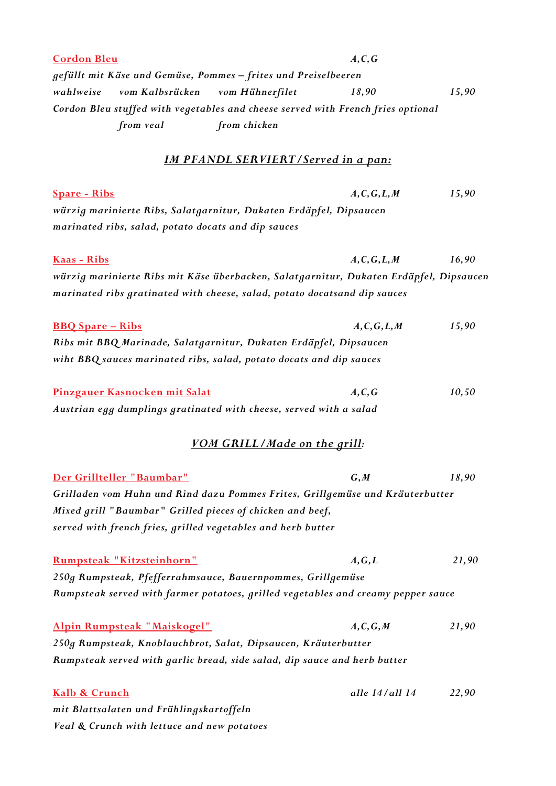| <b>Cordon Bleu</b>                                                                                                        |                                                   | A, C, G        |       |
|---------------------------------------------------------------------------------------------------------------------------|---------------------------------------------------|----------------|-------|
| gefüllt mit Käse und Gemüse, Pommes – frites und Preiselbeeren                                                            |                                                   |                |       |
| wahlweise<br>vom Kalbsrücken                                                                                              | vom Hühnerfilet                                   | 18,90          | 15,90 |
| Cordon Bleu stuffed with vegetables and cheese served with French fries optional                                          |                                                   |                |       |
| from veal                                                                                                                 | from chicken                                      |                |       |
|                                                                                                                           | <u><b>IM PFANDL SERVIERT/Served in a pan:</b></u> |                |       |
| <b>Spare - Ribs</b>                                                                                                       |                                                   | A, C, G, L, M  | 15,90 |
| würzig marinierte Ribs, Salatgarnitur, Dukaten Erdäpfel, Dipsaucen<br>marinated ribs, salad, potato docats and dip sauces |                                                   |                |       |
|                                                                                                                           |                                                   |                |       |
| <u>Kaas - Ribs</u>                                                                                                        |                                                   | A, C, G, L, M  | 16,90 |
| würzig marinierte Ribs mit Käse überbacken, Salatgarnitur, Dukaten Erdäpfel, Dipsaucen                                    |                                                   |                |       |
| marinated ribs gratinated with cheese, salad, potato docatsand dip sauces                                                 |                                                   |                |       |
| <b>BBQ</b> Spare - Ribs                                                                                                   |                                                   | A, C, G, L, M  | 15,90 |
| Ribs mit BBQ Marinade, Salatgarnitur, Dukaten Erdäpfel, Dipsaucen                                                         |                                                   |                |       |
| wiht BBQ sauces marinated ribs, salad, potato docats and dip sauces                                                       |                                                   |                |       |
| Pinzgauer Kasnocken mit Salat                                                                                             |                                                   | A, C, G        | 10,50 |
| Austrian egg dumplings gratinated with cheese, served with a salad                                                        |                                                   |                |       |
|                                                                                                                           | VOM GRILL/Made on the grill:                      |                |       |
| Der Grillteller "Baumbar"                                                                                                 |                                                   | G, M           | 18,90 |
| Grilladen vom Huhn und Rind dazu Pommes Frites, Grillgemüse und Kräuterbutter                                             |                                                   |                |       |
| Mixed grill "Baumbar" Grilled pieces of chicken and beef,                                                                 |                                                   |                |       |
| served with french fries, grilled vegetables and herb butter                                                              |                                                   |                |       |
| Rumpsteak "Kitzsteinhorn"                                                                                                 |                                                   | A, G, L        | 21,90 |
| 250g Rumpsteak, Pfefferrahmsauce, Bauernpommes, Grillgemüse                                                               |                                                   |                |       |
| Rumpsteak served with farmer potatoes, grilled vegetables and creamy pepper sauce                                         |                                                   |                |       |
| Alpin Rumpsteak "Maiskogel"                                                                                               |                                                   | A, C, G, M     | 21,90 |
| 250g Rumpsteak, Knoblauchbrot, Salat, Dipsaucen, Kräuterbutter                                                            |                                                   |                |       |
| Rumpsteak served with garlic bread, side salad, dip sauce and herb butter                                                 |                                                   |                |       |
| Kalb & Crunch                                                                                                             |                                                   | alle 14/all 14 | 22,90 |
| mit Blattsalaten und Frühlingskartoffeln                                                                                  |                                                   |                |       |
| Veal & Crunch with lettuce and new potatoes                                                                               |                                                   |                |       |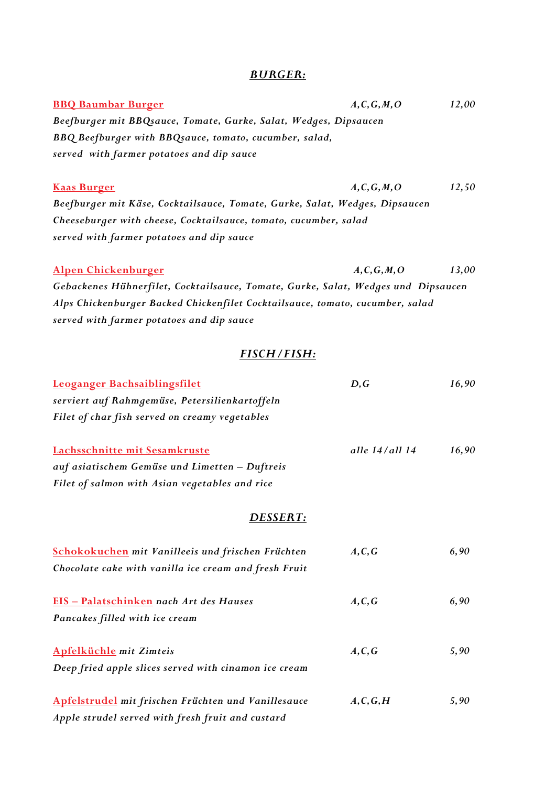### *BURGER:*

| <b>BBQ Baumbar Burger</b>                                                         | A, C, G, M, O  | 12,00 |
|-----------------------------------------------------------------------------------|----------------|-------|
| Beefburger mit BBQsauce, Tomate, Gurke, Salat, Wedges, Dipsaucen                  |                |       |
| BBQ Beefburger with BBQsauce, tomato, cucumber, salad,                            |                |       |
| served with farmer potatoes and dip sauce                                         |                |       |
|                                                                                   |                |       |
| <b>Kaas Burger</b>                                                                | A, C, G, M, O  | 12,50 |
| Beefburger mit Käse, Cocktailsauce, Tomate, Gurke, Salat, Wedges, Dipsaucen       |                |       |
| Cheeseburger with cheese, Cocktailsauce, tomato, cucumber, salad                  |                |       |
| served with farmer potatoes and dip sauce                                         |                |       |
|                                                                                   |                |       |
| Alpen Chickenburger                                                               | A, C, G, M, O  | 13,00 |
| Gebackenes Hühnerfilet, Cocktailsauce, Tomate, Gurke, Salat, Wedges und Dipsaucen |                |       |
| Alps Chickenburger Backed Chickenfilet Cocktailsauce, tomato, cucumber, salad     |                |       |
| served with farmer potatoes and dip sauce                                         |                |       |
| <b>FISCH/FISH:</b>                                                                |                |       |
| Leoganger Bachsaiblingsfilet                                                      | D, G           | 16,90 |
| serviert auf Rahmgemüse, Petersilienkartoffeln                                    |                |       |
| Filet of char fish served on creamy vegetables                                    |                |       |
|                                                                                   |                |       |
| Lachsschnitte mit Sesamkruste                                                     | alle 14/all 14 | 16,90 |
| auf asiatischem Gemüse und Limetten - Duftreis                                    |                |       |
| Filet of salmon with Asian vegetables and rice                                    |                |       |
| DESSERT:                                                                          |                |       |
|                                                                                   |                |       |
| <b>Schokokuchen</b> mit Vanilleeis und frischen Früchten                          | A, C, G        | 6,90  |
| Chocolate cake with vanilla ice cream and fresh Fruit                             |                |       |
| EIS - Palatschinken nach Art des Hauses                                           | A, C, G        | 6,90  |
| Pancakes filled with ice cream                                                    |                |       |
|                                                                                   |                |       |
| <b>Apfelküchle</b> mit Zimteis                                                    | A, C, G        | 5,90  |
| Deep fried apple slices served with cinamon ice cream                             |                |       |
| Apfelstrudel mit frischen Früchten und Vanillesauce                               | A, C, G, H     | 5,90  |
| Apple strudel served with fresh fruit and custard                                 |                |       |
|                                                                                   |                |       |